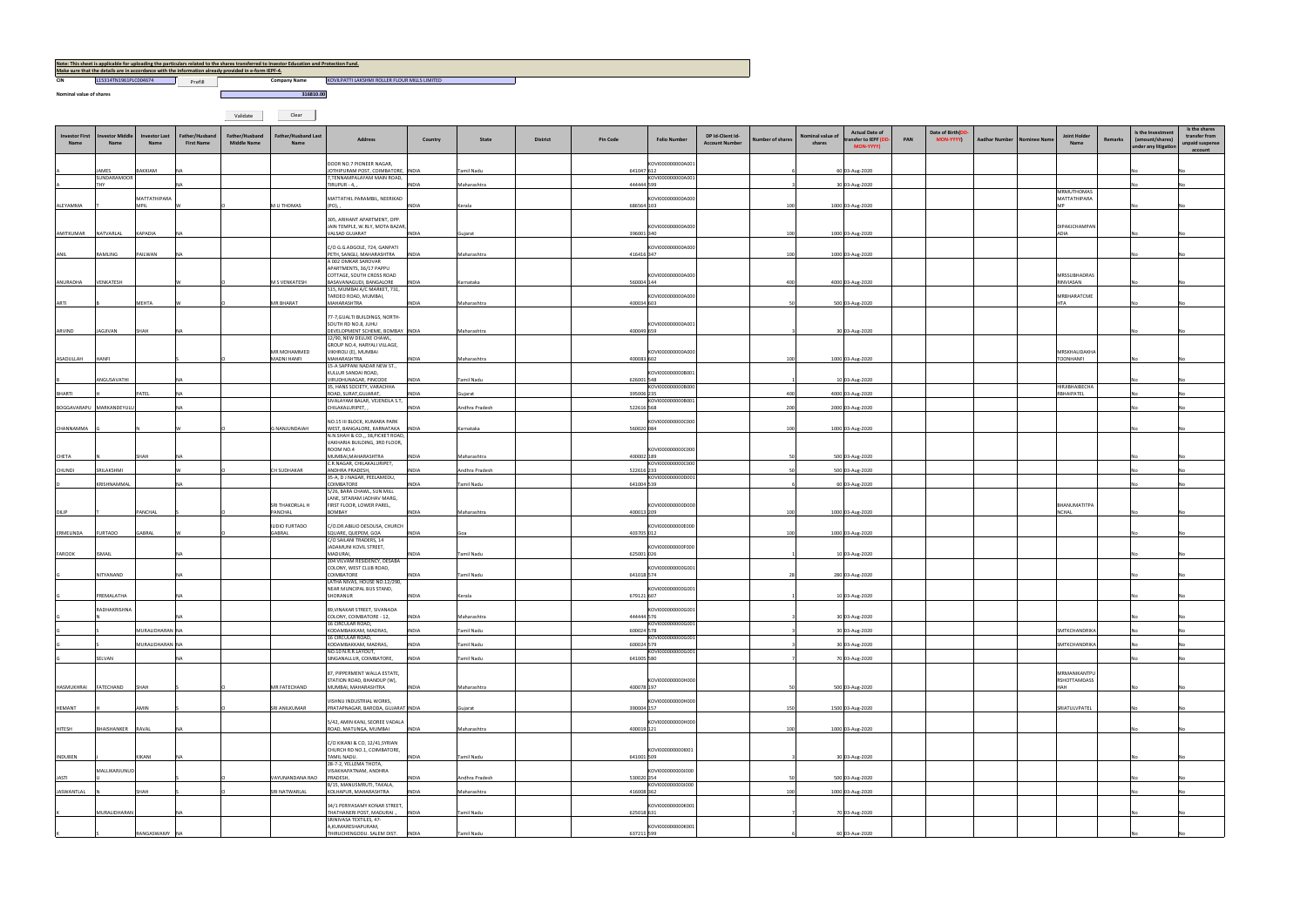**Nominal value of shares**

**CIN COMPANY L15314TN1961PLC004674 COMPANY Prefill COMPANY PROPERTY** A REPORT TO THE PROPERTY OF THE RESERVE OF THE RESERVE OF THE PROPERTY OF THE PROPERTY OF THE PROPERTY OF THE PROPERTY OF THE PROPERTY OF THE PROPERTY OF THE PROPERTY OF THE PROPERTY OF THE PROPERTY OF THE PROPERTY OF THE

Validate Clear

| Note: This sheet is applicable for uploading the particulars related to the shares transferred to Investor Education and Protection Fund. |                       |         |                     |                      |  |  |  |  |  |  |  |  |  |
|-------------------------------------------------------------------------------------------------------------------------------------------|-----------------------|---------|---------------------|----------------------|--|--|--|--|--|--|--|--|--|
| Make sure that the details are in accordance with the information already provided in e-form IEPF-4.                                      |                       |         |                     |                      |  |  |  |  |  |  |  |  |  |
| CIN                                                                                                                                       | L15314TN1961PLC004674 | Prefill | <b>Company Name</b> | <b>KOVILPATTI LA</b> |  |  |  |  |  |  |  |  |  |

**1316810.00**<br> **1316810.00** 

| Investor First<br><b>Name</b> | <b>Investor Middle</b><br><b>Name</b> | <b>Investor Last</b><br>Name | Father/Husband<br><b>First Name</b> | Father/Husband<br><b>Middle Name</b> | <b>Father/Husband Last</b><br>Name | Address                                                                         | Country               | State                     | <b>District</b> | <b>Pin Code</b>          | <b>Folio Number</b> | DP Id-Client Id-<br><b>Account Number</b> | Number of shares | Nominal value c<br>shares | <b>Actual Date of</b><br>ansfer to IEPF (D<br>MON-YYYY) | PAN | Date of Birth(DD<br>MON-YYYY) | <b>Aadhar Number</b><br><b>Nominee Nam</b> | Joint Hold<br><b>Name</b>         | Remarks | Is the Investment<br>(amount/shares)<br>under any litigation | Is the shares<br>transfer from<br>unpaid suspense<br>account |
|-------------------------------|---------------------------------------|------------------------------|-------------------------------------|--------------------------------------|------------------------------------|---------------------------------------------------------------------------------|-----------------------|---------------------------|-----------------|--------------------------|---------------------|-------------------------------------------|------------------|---------------------------|---------------------------------------------------------|-----|-------------------------------|--------------------------------------------|-----------------------------------|---------|--------------------------------------------------------------|--------------------------------------------------------------|
|                               | JAMES                                 | BAKKIAM                      |                                     |                                      |                                    | DOOR NO.7 PIONEER NAGAR,<br>JOTHIPURAM POST, COIMBATORE, INDIA                  |                       | Tamil Nadu                |                 | 641047 612               | KOVI000000000A001   |                                           |                  |                           | 60 03-Aug-2020                                          |     |                               |                                            |                                   |         |                                                              |                                                              |
|                               | SUNDARAMOOR<br><b>THY</b>             |                              |                                     |                                      |                                    | 7, TENNAMPALAYAM MAIN ROAD,<br>TIRUPUR - 4, ,                                   | <b>INDIA</b>          | Maharashtra               |                 | 444444 599               | KOVI000000000A001   |                                           |                  |                           | 30 03-Aug-2020                                          |     |                               |                                            |                                   |         |                                                              |                                                              |
|                               |                                       | MATTATHIPARA                 |                                     |                                      |                                    | MATTATHIL PARAMBIL, NEERIKAD                                                    |                       |                           |                 |                          | KOVI000000000A000   |                                           |                  |                           |                                                         |     |                               |                                            | MRMUTHOMAS<br>MATTATHIPARA        |         |                                                              |                                                              |
| ALEYAMMA                      |                                       | <b>MPIL</b>                  |                                     |                                      | M U THOMAS                         | (PO),                                                                           | INDIA                 | Kerala                    |                 | 686564 103               |                     |                                           | 100              |                           | 1000 03-Aug-2020                                        |     |                               |                                            |                                   |         |                                                              |                                                              |
|                               |                                       |                              |                                     |                                      |                                    | 305, ARIHANT APARTMENT, OPP.<br>JAIN TEMPLE, W.RLY, MOTA BAZAR,                 |                       |                           |                 |                          | KOVI000000000A000   |                                           |                  |                           |                                                         |     |                               |                                            | DIPAKJCHAMPAN                     |         |                                                              |                                                              |
| AMITKUMAR                     | NATVARLAL                             | KAPADIA                      |                                     |                                      |                                    | VALSAD GUJARAT                                                                  | <b>INDIA</b>          | Gujarat                   |                 | 396001 340               |                     |                                           | 100              |                           | 1000 03-Aug-2020                                        |     |                               |                                            | ADIA                              |         |                                                              |                                                              |
| ANIL                          | RAMLING                               | PAILWAN                      |                                     |                                      |                                    | C/O G.G.ADGOLE, 724, GANPATI<br>PETH, SANGLI, MAHARASHTRA                       | <b>INDIA</b>          | Maharashtra               |                 | 416416 347               | OVI000000000A000    |                                           | 100              |                           | 1000 03-Aug-2020                                        |     |                               |                                            |                                   |         |                                                              |                                                              |
|                               |                                       |                              |                                     |                                      |                                    | A 002 OMKAR SAROVAR<br>APARTMENTS, 36/17 PAPPU                                  |                       |                           |                 |                          |                     |                                           |                  |                           |                                                         |     |                               |                                            |                                   |         |                                                              |                                                              |
| ANURADHA                      | VENKATESH                             |                              |                                     |                                      | M S VENKATESH                      | COTTAGE, SOUTH CROSS ROAD<br>BASAVANAGUDI, BANGALORE                            | <b>INDIA</b>          | Karnataka                 |                 | 560004 144               | KOVI000000000A000   |                                           | 400              |                           | 4000 03-Aug-2020                                        |     |                               |                                            | MRSSUBHADRAS<br>RINVIASAN         |         |                                                              |                                                              |
|                               |                                       | <b>MEHTA</b>                 |                                     |                                      | MR BHARAT                          | 515, MUMBAI A/C MARKET, 731,<br>TARDEO ROAD, MUMBAI,<br>MAHARASHTRA             | <b>INDIA</b>          |                           |                 | 400034 603               | KOVI000000000A000   |                                           | -50              |                           |                                                         |     |                               |                                            | MRBHARATCME<br><b>HTA</b>         |         |                                                              |                                                              |
| ARTI                          |                                       |                              |                                     |                                      |                                    | 77-7, GUALTI BUILDINGS, NORTH-                                                  |                       | Maharashtra               |                 |                          |                     |                                           |                  |                           | 500 03-Aug-2020                                         |     |                               |                                            |                                   |         |                                                              |                                                              |
| ARVIND                        | JAGJIVAN                              | SHAH                         |                                     |                                      |                                    | SOUTH RD NO.8, JUHU<br>DEVELOPMENT SCHEME, BOMBAY INDIA                         |                       | Maharashtra               |                 | 400049 659               | KOVI000000000A001   |                                           |                  |                           | 30 03-Aug-2020                                          |     |                               |                                            |                                   |         |                                                              |                                                              |
|                               |                                       |                              |                                     |                                      |                                    | 12/90, NEW DELUXE CHAWL,<br>GROUP NO.4, HARYALI VILLAGE,                        |                       |                           |                 |                          |                     |                                           |                  |                           |                                                         |     |                               |                                            |                                   |         |                                                              |                                                              |
| ASADULLAH                     | <b>HANFI</b>                          |                              |                                     |                                      | MR MOHAMMED<br><b>MADNI HANFI</b>  | VIKHROLI (E), MUMBAI<br>MAHARASHTRA                                             | <b>INDIA</b>          | Maharashtra               |                 | 400083 602               | KOVI000000000A000   |                                           | 100              |                           | 1000 03-Aug-2020                                        |     |                               |                                            | MRSKHALIDAKHA<br><b>TOONHANFI</b> |         |                                                              |                                                              |
|                               |                                       |                              |                                     |                                      |                                    | 15-A SAPPANI NADAR NEW ST.,<br>KULLUR SANDAI ROAD,                              |                       |                           |                 |                          | KOVI000000000B001   |                                           |                  |                           |                                                         |     |                               |                                            |                                   |         |                                                              |                                                              |
|                               | ANGUSAVATHI                           |                              |                                     |                                      |                                    | VIRUDHUNAGAR, PINCODE<br>35, HANS SOCIETY, VARACHHA                             | INDIA                 | Tamil Nadu                |                 | 626001 548               | KOVI000000000B000   |                                           |                  |                           | 10 03-Aug-2020                                          |     |                               |                                            | HIRJIBHAIBECHA                    |         |                                                              |                                                              |
| BHARTI                        |                                       | PATEL                        |                                     |                                      |                                    | ROAD, SURAT, GUJARAT,<br>SIVALAYAM BALAR, VEJENDLA S.T,                         | INDIA                 | Gujarat                   |                 | 395006 235               | KOVI000000000B001   |                                           | 400              |                           | 4000 03-Aug-2020                                        |     |                               |                                            | RBHAIPATEL                        |         |                                                              |                                                              |
|                               | BOGGAVARAPU MARKANDEYULL              |                              |                                     |                                      |                                    | CHILAKALURIPET,                                                                 | <b>INDIA</b>          | Andhra Pradesh            |                 | 522616 568               |                     |                                           | 200              |                           | 2000 03-Aug-2020                                        |     |                               |                                            |                                   |         |                                                              |                                                              |
| CHANNAMMA                     |                                       |                              |                                     |                                      | <b>G NANJUNDAIAH</b>               | NO.15 III BLOCK, KUMARA PARK<br>WEST, BANGALORE, KARNATAKA INDIA                |                       | Karnataka                 |                 | 560020 084               | KOVI000000000C000   |                                           | 100              |                           | 1000 03-Aug-2020                                        |     |                               |                                            |                                   |         |                                                              |                                                              |
|                               |                                       |                              |                                     |                                      |                                    | N.N.SHAH & CO.,, 38, PICKET ROAD,<br>VAKHARIA BUILDING, 3RD FLOOR,<br>ROOM NO.4 |                       |                           |                 |                          | KOVI000000000C000   |                                           |                  |                           |                                                         |     |                               |                                            |                                   |         |                                                              |                                                              |
| CHETA                         |                                       | SHAH                         |                                     |                                      |                                    | MUMBAI, MAHARASHTRA<br>C.R.NAGAR, CHILAKALURIPET,                               | <b>INDIA</b>          | Maharashtra               |                 | 400002 189               | KOVI000000000C000   |                                           |                  |                           | 500 03-Aug-2020                                         |     |                               |                                            |                                   |         |                                                              |                                                              |
| CHUNDI                        | SRILAKSHMI                            |                              |                                     |                                      | <b>CH SUDHAKAR</b>                 | ANDHRA PRADESH,<br>35-A, D J NAGAR, PEELAMEDU,                                  | <b>INDIA</b>          | Andhra Pradesh            |                 | 522616 233               | KOVI000000000D001   |                                           |                  |                           | 500 03-Aug-2020                                         |     |                               |                                            |                                   |         |                                                              |                                                              |
|                               | KRISHNAMMAL                           |                              |                                     |                                      |                                    | COIMBATORE<br>5/26, BARA CHAWL, SUN MILL                                        | INDIA                 | Tamil Nadu                |                 | 641004 539               |                     |                                           |                  |                           | 60 03-Aug-2020                                          |     |                               |                                            |                                   |         |                                                              |                                                              |
|                               |                                       |                              |                                     |                                      | SRI THAKORLAL H                    | LANE, SITARAM JADHAV MARG,<br>FIRST FLOOR, LOWER PAREL,                         |                       |                           |                 |                          | KOVI000000000D000   |                                           |                  |                           |                                                         |     |                               |                                            | BHANUMATITPA                      |         |                                                              |                                                              |
| DILIP                         |                                       | PANCHAL                      |                                     |                                      | PANCHAL                            | <b>BOMBAY</b><br>C/O.DR.ABILIO DESOUSA, CHURCH                                  | <b>INDIA</b>          | Maharashtra               |                 | 400013 209               | KOVI000000000E000   |                                           | 100              |                           | 1000 03-Aug-2020                                        |     |                               |                                            | <b>NCHAL</b>                      |         |                                                              |                                                              |
| ERMELINDA                     | <b>FURTADO</b>                        | GABRAL                       |                                     |                                      | ILIDIO FURTADO<br>GABRAL           | SQUARE, QUEPEM, GOA<br>C/O SAILANI TRADERS, 14                                  | <b>INDIA</b>          | Goa                       |                 | 403705 012               |                     |                                           | 100              |                           | 1000 03-Aug-2020                                        |     |                               |                                            |                                   |         |                                                              |                                                              |
| FAROOK                        | <b>ISMAIL</b>                         |                              |                                     |                                      |                                    | JADAMUNI KOVIL STREET,<br>MADURAI,                                              | <b>INDIA</b>          | Tamil Nadu                |                 | 625001 026               | KOVI000000000F000   |                                           |                  |                           | 10 03-Aug-2020                                          |     |                               |                                            |                                   |         |                                                              |                                                              |
|                               |                                       |                              |                                     |                                      |                                    | 204 VILVAM RESIDENCY, DESABA<br>COLONY, WEST CLUB ROAD,                         |                       |                           |                 |                          | KOVI000000000G001   |                                           |                  |                           |                                                         |     |                               |                                            |                                   |         |                                                              |                                                              |
|                               | NITYANAND                             |                              |                                     |                                      |                                    | COIMBATORE<br>LATHA NIVAS, HOUSE NO.12/290,                                     | INDIA                 | Tamil Nadu                |                 | 641018 574               |                     |                                           |                  |                           | 280 03-Aug-2020                                         |     |                               |                                            |                                   |         |                                                              |                                                              |
|                               | PREMALATHA                            |                              |                                     |                                      |                                    | NEAR MUNCIPAL BUS STAND,<br>SHORANUR                                            | <b>INDIA</b>          | Kerala                    |                 | 679121 607               | KOVI000000000G001   |                                           |                  |                           | 10 03-Aug-2020                                          |     |                               |                                            |                                   |         |                                                              |                                                              |
|                               | RADHAKRISHNA                          |                              |                                     |                                      |                                    | 89, VINAKAR STREET, SIVANADA                                                    |                       |                           |                 |                          | KOVI000000000G001   |                                           |                  |                           |                                                         |     |                               |                                            |                                   |         |                                                              |                                                              |
|                               |                                       | MURALIDHARAN NA              |                                     |                                      |                                    | COLONY, COIMBATORE - 12,<br>16 CIRCULAR ROAD,<br>KODAMBAKKAM, MADRAS,           | INDIA<br><b>INDIA</b> | Maharashtra<br>Tamil Nadu |                 | 444444 576<br>600024 578 | KOVI000000000G001   |                                           |                  |                           | 30 03-Aug-2020                                          |     |                               |                                            | SMTKCHANDRIKA                     |         |                                                              |                                                              |
|                               |                                       | MURALIDHARAN NA              |                                     |                                      |                                    | 16 CIRCULAR ROAD,<br>KODAMBAKKAM, MADRAS,                                       | <b>INDIA</b>          | Tamil Nadu                |                 | 600024 579               | KOVI000000000G001   |                                           |                  |                           | 30 03-Aug-2020<br>30 03-Aug-2020                        |     |                               |                                            | <b>SMTKCHANDRIKA</b>              |         |                                                              |                                                              |
|                               | SELVAN                                |                              |                                     |                                      |                                    | NO.10 N.R.R.LAYOUT,<br>SINGANALLUR, COIMBATORE,                                 | <b>INDIA</b>          | Tamil Nadu                |                 | 641005 580               | KOVI000000000G001   |                                           |                  |                           | 70 03-Aug-2020                                          |     |                               |                                            |                                   |         |                                                              |                                                              |
|                               |                                       |                              |                                     |                                      |                                    | 87, PIPPERMENT WALLA ESTATE,                                                    |                       |                           |                 |                          |                     |                                           |                  |                           |                                                         |     |                               |                                            | MRMANIKANTPU                      |         |                                                              |                                                              |
| HASMUKHRAI FATECHAND          |                                       | SHAH                         |                                     |                                      | MR FATECHAND                       | STATION ROAD, BHANDUP (W),<br>MUMBAI, MAHARASHTRA                               | <b>INDIA</b>          | Maharashtra               |                 | 400078 197               | KOVI000000000H000   |                                           |                  |                           | 500 03-Aug-2020                                         |     |                               |                                            | RSHOTTAMDASS<br>HAH               |         | No                                                           |                                                              |
|                               |                                       |                              |                                     |                                      |                                    | VISHNU INDUSTRIAL WORKS,                                                        |                       |                           |                 |                          | KOVI000000000H000   |                                           |                  |                           |                                                         |     |                               |                                            |                                   |         |                                                              |                                                              |
| HEMANT                        |                                       | AMIN                         |                                     |                                      | SRI ANILKUMAR                      | PRATAPNAGAR, BARODA, GUJARAT INDIA                                              |                       | Gujarat                   |                 | 390004 157               |                     |                                           | 150              |                           | 1500 03-Aug-2020                                        |     |                               |                                            | SRIATULVPATEL                     |         |                                                              |                                                              |
| HITESH                        | BHAISHANKER RAVAL                     |                              |                                     |                                      |                                    | 5/42, AMIN KANJ, SEOREE VADALA<br>ROAD, MATUNGA, MUMBAI                         | <b>INDIA</b>          | Maharashtra               |                 | 400019 121               | KOVI000000000H000   |                                           | 100              |                           | 1000 03-Aug-2020                                        |     |                               |                                            |                                   |         |                                                              |                                                              |
|                               |                                       |                              |                                     |                                      |                                    | C/O KIKANI & CO, 12/41, SYRIAN<br>CHURCH RD NO.1, COIMBATORE,                   |                       |                           |                 |                          | KOVI0000000000001   |                                           |                  |                           |                                                         |     |                               |                                            |                                   |         |                                                              |                                                              |
| INDUBEN                       |                                       | KIKANI                       |                                     |                                      |                                    | TAMIL NADU.<br>28-7-2, YELLEMA THOTA,                                           | <b>INDIA</b>          | Tamil Nadu                |                 | 641001 509               |                     |                                           |                  |                           | 30 03-Aug-2020                                          |     |                               |                                            |                                   |         |                                                              |                                                              |
| JASTI                         | MALLIKARJUNUD                         |                              |                                     |                                      | VAYUNANDANA RAO                    | VISAKHAPATNAM, ANDHRA<br>PRADESH,                                               | INDIA                 | Andhra Pradesh            |                 | 530020 354               | KOVI000000000J000   |                                           |                  |                           | 500 03-Aug-2020                                         |     |                               |                                            |                                   |         |                                                              |                                                              |
| JASWANTLAL                    |                                       | SHAH                         |                                     |                                      | SRI NATWARLAL                      | B/15, MANUSMRUTI, TAKALA,<br>KOLHAPUR, MAHARASHTRA                              | <b>INDIA</b>          | Maharashtra               |                 | 416008 362               | KOVI0000000000000   |                                           | 100              |                           | 1000 03-Aug-2020                                        |     |                               |                                            |                                   |         |                                                              |                                                              |
|                               |                                       |                              |                                     |                                      |                                    | 34/1 PERIYASAMY KONAR STREET,                                                   |                       |                           |                 |                          | KOVI000000000K001   |                                           |                  |                           |                                                         |     |                               |                                            |                                   |         |                                                              |                                                              |
|                               | MURALIDHARAN                          |                              |                                     |                                      |                                    | THATHANERI POST, MADURAI.,<br>SRINIVASA TEXTILES, 47-                           | <b>INDIA</b>          | <b>Tamil Nadu</b>         |                 | 625018 631               |                     |                                           |                  |                           | 70 03-Aug-2020                                          |     |                               |                                            |                                   |         |                                                              |                                                              |
|                               |                                       | RANGASWAMY                   |                                     |                                      |                                    | A,KUMARESHAPURAM,<br>THIRLICHFNGODLI. SAI FM DIST. INDIA                        |                       | Tamil Nadu                |                 | 637211 599               | KOVI000000000K001   |                                           |                  |                           | 60 03-Aug-2020                                          |     |                               |                                            |                                   |         |                                                              |                                                              |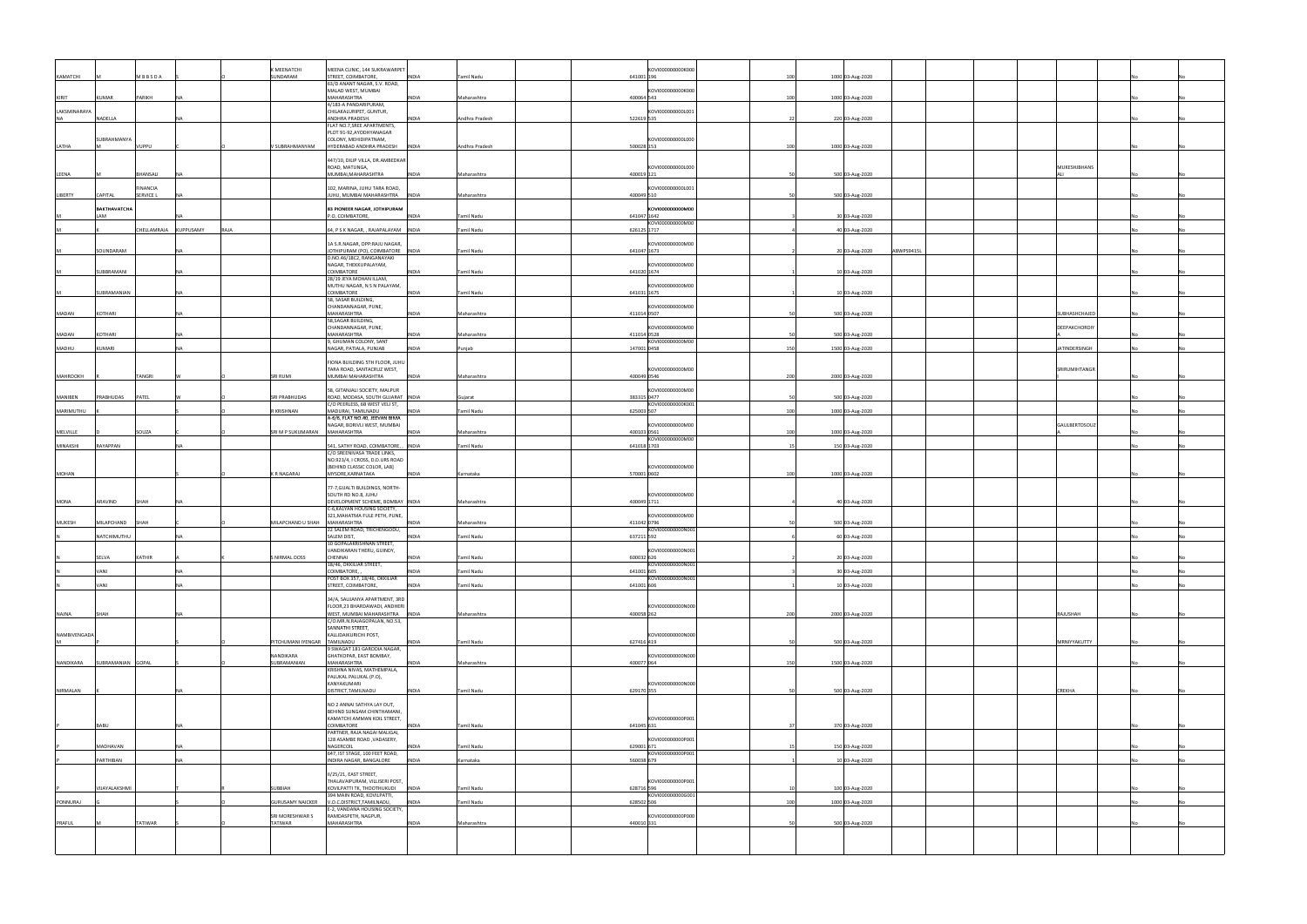|               |                     |                       |            |      | <b>KMEENATCHI</b>       | MEENA CLINIC, 144 SUKRAWARPET                                  |              |                   |             | KOVI000000000K000               |     |                  |            |                     |  |
|---------------|---------------------|-----------------------|------------|------|-------------------------|----------------------------------------------------------------|--------------|-------------------|-------------|---------------------------------|-----|------------------|------------|---------------------|--|
| KAMATCHI      |                     | MBBSDA                |            |      | SUNDARAM                | STREET, COIMBATORE,                                            | <b>INDIA</b> | Tamil Nadu        | 641001 196  |                                 | 100 | 1000 03-Aug-2020 |            |                     |  |
|               |                     |                       |            |      |                         | 63/D ANANT NAGAR, S.V. ROAD,<br>MALAD WEST, MUMBAI             |              |                   |             | KOVI000000000K000               |     |                  |            |                     |  |
| KIRIT         | KUMAR               | PARIKH                | <b>INA</b> |      |                         | MAHARASHTRA                                                    | INDIA        | Maharashtra       | 400064 543  |                                 | 100 | 1000 03-Aug-2020 |            |                     |  |
|               |                     |                       |            |      |                         | 4/183-A PANDARIPURAM,                                          |              |                   |             |                                 |     |                  |            |                     |  |
| LAKSMINARAYA  |                     |                       |            |      |                         | CHILAKALURIPET, GUNTUR,                                        |              |                   |             | KOVI000000000L001               |     |                  |            |                     |  |
| <b>NA</b>     | NADELLA             |                       |            |      |                         | ANDHRA PRADESH.<br>FLAT NO.7, SREE APARTMENTS,                 | <b>INDIA</b> | Andhra Pradesh    | 522619 535  |                                 |     | 220 03-Aug-2020  |            |                     |  |
|               |                     |                       |            |      |                         | PLOT 91-92, AYODHYANAGAR                                       |              |                   |             |                                 |     |                  |            |                     |  |
|               | SUBRAHMANYA         |                       |            |      |                         | COLONY, MEHIDIPATNAM,                                          |              |                   |             | KOVI000000000L000               |     |                  |            |                     |  |
| LATHA         |                     | VUPPU                 |            |      | V SUBRAHMANYAM          | HYDERABAD ANDHRA PRADESH INDIA                                 |              | Andhra Pradesh    | 500028 153  |                                 | 100 | 1000 03-Aug-2020 |            |                     |  |
|               |                     |                       |            |      |                         | 447/10, DILIP VILLA, DR.AMBEDKAR                               |              |                   |             |                                 |     |                  |            |                     |  |
|               |                     |                       |            |      |                         | ROAD, MATUNGA,                                                 |              |                   |             | KOVI000000000L000               |     |                  |            | MUKESHJBHANS        |  |
| LEENA         |                     | BHANSALI              | <b>NA</b>  |      |                         | MUMBAI, MAHARASHTRA                                            | <b>INDIA</b> | Maharashtra       | 400019 121  |                                 |     | 500 03-Aug-2020  |            |                     |  |
|               |                     |                       |            |      |                         |                                                                |              |                   |             |                                 |     |                  |            |                     |  |
| LIBERTY       | CAPITAL             | INANCIA<br>SERVICE L  |            |      |                         | 102, MARINA, JUHU TARA ROAD,<br>JUHU, MUMBAI MAHARASHTRA       | <b>INDIA</b> | Maharashtra       | 400049 510  | KOVI000000000L001               |     | 500 03-Aug-2020  |            |                     |  |
|               |                     |                       |            |      |                         |                                                                |              |                   |             |                                 |     |                  |            |                     |  |
|               | <b>BAKTHAVATCHA</b> |                       |            |      |                         | 83 PIONEER NAGAR, JOTHIPURAM                                   |              |                   |             | KOVI000000000M00                |     |                  |            |                     |  |
|               | <b>LAM</b>          |                       | NΔ         |      |                         | P.O, COIMBATORE,                                               | INDIA        | Tamil Nadu        |             | 641047 1642<br>KOVI000000000M00 |     | 30 03-Aug-2020   |            |                     |  |
|               |                     | CHELLAMRAJA KUPPUSAMY |            | RAJA |                         | 64, P S K NAGAR, , RAJAPALAYAM INDIA                           |              | Tamil Nadu        |             | 626125 1717                     |     | 40 03-Aug-2020   |            |                     |  |
|               |                     |                       |            |      |                         |                                                                |              |                   |             |                                 |     |                  |            |                     |  |
|               |                     |                       |            |      |                         | 1A S.R.NAGAR, OPP:RAJU NAGAR,                                  |              |                   |             | KOVI000000000M00                |     |                  |            |                     |  |
|               | SOUNDARAM           |                       | <b>NA</b>  |      |                         | JOTHIPURAM (PO), COIMBATORE INDIA<br>D.NO.46/18C2, RANGANAYAKI |              | Tamil Nadu        |             | 641047 1673                     |     | 20 03-Aug-2020   | ABWPS9415L |                     |  |
|               |                     |                       |            |      |                         | NAGAR, THEKKUPALAYAM,                                          |              |                   |             | KOVI000000000M00                |     |                  |            |                     |  |
|               | SUBBRAMANI          |                       | <b>NA</b>  |      |                         | COIMBATORE                                                     | <b>INDIA</b> | Tamil Nadu        |             | 641020 1674                     |     | 10 03-Aug-2020   |            |                     |  |
|               |                     |                       |            |      |                         | 28/19 JEYA MOHAN ILLAM,                                        |              |                   |             |                                 |     |                  |            |                     |  |
|               | SUBRAMANIAN         |                       | <b>NA</b>  |      |                         | MUTHU NAGAR, N S N PALAYAM,<br>COIMBATORE                      | <b>INDIA</b> | <b>Tamil Nadu</b> |             | KOVI000000000M00<br>641031 1675 |     | 10 03-Aug-2020   |            |                     |  |
|               |                     |                       |            |      |                         | 58, SASAR BUILDING,                                            |              |                   |             |                                 |     |                  |            |                     |  |
|               |                     |                       |            |      |                         | CHANDANNAGAR, PUNE,                                            |              |                   |             | KOVI000000000M00                |     |                  |            |                     |  |
| MADAN         | KOTHARI             |                       |            |      |                         | MAHARASHTRA                                                    | <b>NDIA</b>  | Maharashtra       |             | 411014 0507                     |     | 500 03-Aug-2020  |            | <b>UBHASHCHAJED</b> |  |
|               |                     |                       |            |      |                         | 58, SAGAR BUILDING,<br>CHANDANNAGAR, PUNE,                     |              |                   |             | KOVI000000000M00                |     |                  |            | DEEPAKCHORDIY       |  |
| <b>MADAN</b>  | KOTHARI             |                       | <b>NA</b>  |      |                         | MAHARASHTRA                                                    | INDIA        | Maharashtra       |             | 411014 0528                     |     | 500 03-Aug-2020  |            |                     |  |
|               |                     |                       |            |      |                         | 9, GHUMAN COLONY, SANT                                         |              |                   |             | KOVI000000000M00                |     |                  |            |                     |  |
| MADHU         | KUMARI              |                       | <b>NA</b>  |      |                         | NAGAR, PATIALA, PUNJAB                                         | <b>INDIA</b> | Punjab            |             | 147001 0458                     | 150 | 1500 03-Aug-2020 |            | ATINDERSINGH        |  |
|               |                     |                       |            |      |                         | FIONA BUILDING 5TH FLOOR, JUHU                                 |              |                   |             |                                 |     |                  |            |                     |  |
|               |                     |                       |            |      |                         | TARA ROAD, SANTACRUZ WEST,                                     |              |                   |             | KOVI000000000M00                |     |                  |            | SRIRUMIHTANGR       |  |
| MAHROOKH      |                     | TANGRI                |            |      | SRI RUMI                | MUMBAI MAHARASHTRA                                             | <b>INDIA</b> | Maharashtra       | 400049 0546 |                                 | 200 | 2000 03-Aug-2020 |            |                     |  |
|               |                     |                       |            |      |                         | 58, GITANJALI SOCIETY, MALPUR                                  |              |                   |             | KOVI000000000M00                |     |                  |            |                     |  |
| MANIBEN       | PRABHUDAS           | PATEL                 |            |      | <b>SRI PRABHUDAS</b>    | ROAD, MODASA, SOUTH GUJARAT INDIA                              |              | Gujarat           |             | 383315 0477                     |     | 500 03-Aug-2020  |            |                     |  |
|               |                     |                       |            |      |                         | C/O PEERLESS, 6B WEST VELI ST,                                 |              |                   |             | KOVI000000000K001               |     |                  |            |                     |  |
| MARIMUTHU     |                     |                       |            |      | R KRISHNAN              | MADURAI, TAMILNADU                                             | <b>INDIA</b> | Tamil Nadu        | 625003 507  |                                 | 100 | 1000 03-Aug-2020 |            |                     |  |
|               |                     |                       |            |      |                         | A-6/6, FLAT NO.40, JEEVAN BIMA<br>NAGAR, BORIVLI WEST, MUMBAI  |              |                   |             | KOVI000000000M00                |     |                  |            | GAULBERTDSOUZ       |  |
| MELVILLE      |                     | SOUZA                 |            |      | SRI M P SUKUMARAN       | MAHARASHTRA                                                    | <b>INDIA</b> | Maharashtra       | 400103 0561 |                                 | 100 | 1000 03-Aug-2020 |            |                     |  |
|               |                     |                       |            |      |                         |                                                                |              |                   |             | KOVI000000000M00                |     |                  |            |                     |  |
| MINAKSHI      | RAYAPPAN            |                       | <b>NA</b>  |      |                         | 541, SATHY ROAD, COIMBATORE, ,                                 | <b>INDIA</b> | Tamil Nadu        |             | 641018 1703                     |     | 150 03-Aug-2020  |            |                     |  |
|               |                     |                       |            |      |                         | C/O SREENIVASA TRADE LINKS,<br>NO.923/4, I CROSS, D.D.URS ROAD |              |                   |             |                                 |     |                  |            |                     |  |
|               |                     |                       |            |      |                         | (BEHIND CLASSIC COLOR, LAB]                                    |              |                   |             | KOVI000000000M00                |     |                  |            |                     |  |
| <b>MOHAN</b>  |                     |                       |            |      | K R NAGARAJ             | MYSORE, KARNATAKA                                              | INDIA        | Karnataka         |             | 570001 0602                     | 100 | 1000 03-Aug-2020 |            |                     |  |
|               |                     |                       |            |      |                         |                                                                |              |                   |             |                                 |     |                  |            |                     |  |
|               |                     |                       |            |      |                         | 77-7, GUALTI BUILDINGS, NORTH-<br>SOUTH RD NO.8, JUHU          |              |                   |             | KOVI000000000M00                |     |                  |            |                     |  |
| MONA          | ARAVIND             | SHAH                  | <b>INA</b> |      |                         | DEVELOPMENT SCHEME, BOMBAY  INDIA                              |              | Maharashtra       | 400049 1711 |                                 |     | 40 03-Aug-2020   |            |                     |  |
|               |                     |                       |            |      |                         | C-6, KALYAN HOUSING SOCIETY,                                   |              |                   |             |                                 |     |                  |            |                     |  |
| <b>MUKESH</b> | MILAPCHAND          |                       |            |      |                         | 321, MAHATMA FULE PETH, PUNE,<br>MAHARASHTRA                   |              |                   | 411042 0796 | KOVI000000000M00                |     |                  |            |                     |  |
|               |                     | SHAH                  |            |      | MILAPCHAND U SHAH       | 22 SALEM ROAD, TRICHENGODU,                                    | <b>INDIA</b> | Maharashtra       |             | KOVI000000000N001               |     | 500 03-Aug-2020  |            |                     |  |
|               | NATCHIMUTHU         |                       | <b>NA</b>  |      |                         | SALEM DIST,                                                    | <b>INDIA</b> | Tamil Nadu        | 637211 592  |                                 |     | 60 03-Aug-2020   |            |                     |  |
|               |                     |                       |            |      |                         | 10 GOPALAKRISHNAN STREET,                                      |              |                   |             |                                 |     |                  |            |                     |  |
|               |                     | KATHIR                |            |      |                         | VANDIKARAN THERU, GUINDY,<br>CHENNAI                           | <b>INDIA</b> | Tamil Nadu        |             | KOVI000000000N001               |     |                  |            |                     |  |
|               | SELVA               |                       |            |      | NIRMAL DOSS             | 18/46, OKKILIAR STREET,                                        |              |                   | 600032 626  | KOVI000000000N001               |     | 20 03-Aug-2020   |            |                     |  |
|               | VANI                |                       | <b>NA</b>  |      |                         | COIMBATORE,                                                    | NDIA         | Tamil Nadu        | 641001 605  |                                 |     | 30 03-Aug-2020   |            |                     |  |
|               |                     |                       |            |      |                         | POST BOX 357, 18/46, OKKILIAR                                  |              |                   |             | KOVI000000000N001               |     |                  |            |                     |  |
|               | VANI                |                       | <b>NA</b>  |      |                         | STREET, COIMBATORE,                                            | <b>INDIA</b> | Tamil Nadu        | 641001 606  |                                 |     | 10 03-Aug-2020   |            |                     |  |
|               |                     |                       |            |      |                         | 34/A, SAUJANYA APARTMENT, 3RD                                  |              |                   |             |                                 |     |                  |            |                     |  |
|               |                     |                       |            |      |                         | FLOOR, 23 BHARDAWADI, ANDHERI                                  |              |                   |             | KOVI000000000N000               |     |                  |            |                     |  |
| <b>NAJNA</b>  | SHAH                |                       | <b>NA</b>  |      |                         | WEST, MUMBAI MAHARASHTRA INDIA                                 |              | Maharashtra       | 400058 262  |                                 | 200 | 2000 03-Aug-2020 |            | RAJUSHAH            |  |
|               |                     |                       |            |      |                         | C/O.MR.N.RAJAGOPALAN, NO.53,<br>SANNATHI STREET,               |              |                   |             |                                 |     |                  |            |                     |  |
| NAMBIVENGADA  |                     |                       |            |      |                         | KALLIDAIKURICHI POST,                                          |              |                   |             | KOVI000000000N000               |     |                  |            |                     |  |
|               |                     |                       |            |      | PITCHUMANI IYENGAR      | TAMILNADU                                                      | <b>INDIA</b> | <b>Tamil Nadu</b> | 627416 419  |                                 |     | 500 03-Aug-2020  |            | MRNIYYAKUTTY        |  |
|               |                     |                       |            |      | NANDIKARA               | ) SWAGAT 181 GARODIA NAGAR,                                    |              |                   |             | KOVI000000000N000               |     |                  |            |                     |  |
| NANDIKARA     | SUBRAMANIAN GOPAL   |                       |            |      | SUBRAMANIAN             | GHATKOPAR, EAST BOMBAY,<br>MAHARASHTRA                         | <b>INDIA</b> | Maharashtra       | 400077 064  |                                 | 150 | 1500 03-Aug-2020 |            |                     |  |
|               |                     |                       |            |      |                         | KRISHNA NIVAS, MATHEMPALA,                                     |              |                   |             |                                 |     |                  |            |                     |  |
|               |                     |                       |            |      |                         | PALUKAL PALUKAL (P.O),                                         |              |                   |             |                                 |     |                  |            |                     |  |
| NIRMALAN      |                     |                       | <b>NA</b>  |      |                         | KANYAKUMARI<br>DISTRICT, TAMILNADU                             | <b>INDIA</b> | Tamil Nadu        | 629170 355  | KOVI000000000N000               |     | 500 03-Aug-2020  |            | <b>CREKHA</b>       |  |
|               |                     |                       |            |      |                         |                                                                |              |                   |             |                                 |     |                  |            |                     |  |
|               |                     |                       |            |      |                         | NO 2 ANNAI SATHYA LAY OUT,                                     |              |                   |             |                                 |     |                  |            |                     |  |
|               |                     |                       |            |      |                         | BEHIND SUNGAM CHINTHAMANI,<br>KAMATCHI AMMAN KOIL STREET,      |              |                   |             |                                 |     |                  |            |                     |  |
|               | BABU                |                       | <b>NA</b>  |      |                         | COIMBATORE                                                     | INDIA        | <b>Tamil Nadu</b> | 641045 631  | KOVI000000000P001               |     | 370 03-Aug-2020  |            |                     |  |
|               |                     |                       |            |      |                         | PARTNER, RAJA NAGAI MALIGAI,                                   |              |                   |             |                                 |     |                  |            |                     |  |
|               |                     |                       |            |      |                         | 128 ASAMBE ROAD , VADASERY,                                    |              |                   |             | KOVI000000000P001               |     |                  |            |                     |  |
|               | MADHAVAN            |                       | <b>NA</b>  |      |                         | NAGERCOIL<br>647, IST STAGE, 100 FEET ROAD,                    | INDIA        | Tamil Nadu        | 629001 671  | KOVI000000000P001               |     | 150 03-Aug-2020  |            |                     |  |
|               | PARTHIBAN           |                       | <b>INA</b> |      |                         | INDIRA NAGAR, BANGALORE                                        | <b>INDIA</b> | Karnataka         | 560038 679  |                                 |     | 10 03-Aug-2020   |            |                     |  |
|               |                     |                       |            |      |                         |                                                                |              |                   |             |                                 |     |                  |            |                     |  |
|               |                     |                       |            |      |                         | II/25/21, EAST STREET,                                         |              |                   |             |                                 |     |                  |            |                     |  |
|               | VIJAYALAKSHMI       |                       |            |      | SUBBIAH                 | THALAVAIPURAM, VILLISERI POST,<br>KOVILPATTI TK, THOOTHUKUDI   | <b>INDIA</b> | Tamil Nadu        | 628716 596  | KOVI000000000P001               |     | 100 03-Aug-2020  |            |                     |  |
|               |                     |                       |            |      |                         | 394 MAIN ROAD, KOVILPATTI,                                     |              |                   |             | KOVI000000000G001               |     |                  |            |                     |  |
| PONNURAJ      |                     |                       |            |      | <b>GURUSAMY NAICKER</b> | V.O.C.DISTRICT, TAMILNADU,                                     | <b>INDIA</b> | Tamil Nadu        | 628502 506  |                                 | 100 | 1000 03-Aug-2020 |            |                     |  |
|               |                     |                       |            |      | SRI MORESHWAR S         | E-2, VANDANA HOUSING SOCIETY,<br>RAMDASPETH, NAGPUR,           |              |                   |             | KOVI000000000P000               |     |                  |            |                     |  |
| PRAFUL        |                     | TATIWAR               |            |      | TATIWAR                 | MAHARASHTRA                                                    | INDIA        | Maharashtra       | 440010 331  |                                 |     | 500 03-Aug-2020  |            |                     |  |
|               |                     |                       |            |      |                         |                                                                |              |                   |             |                                 |     |                  |            |                     |  |
|               |                     |                       |            |      |                         |                                                                |              |                   |             |                                 |     |                  |            |                     |  |
|               |                     |                       |            |      |                         |                                                                |              |                   |             |                                 |     |                  |            |                     |  |
|               |                     |                       |            |      |                         |                                                                |              |                   |             |                                 |     |                  |            |                     |  |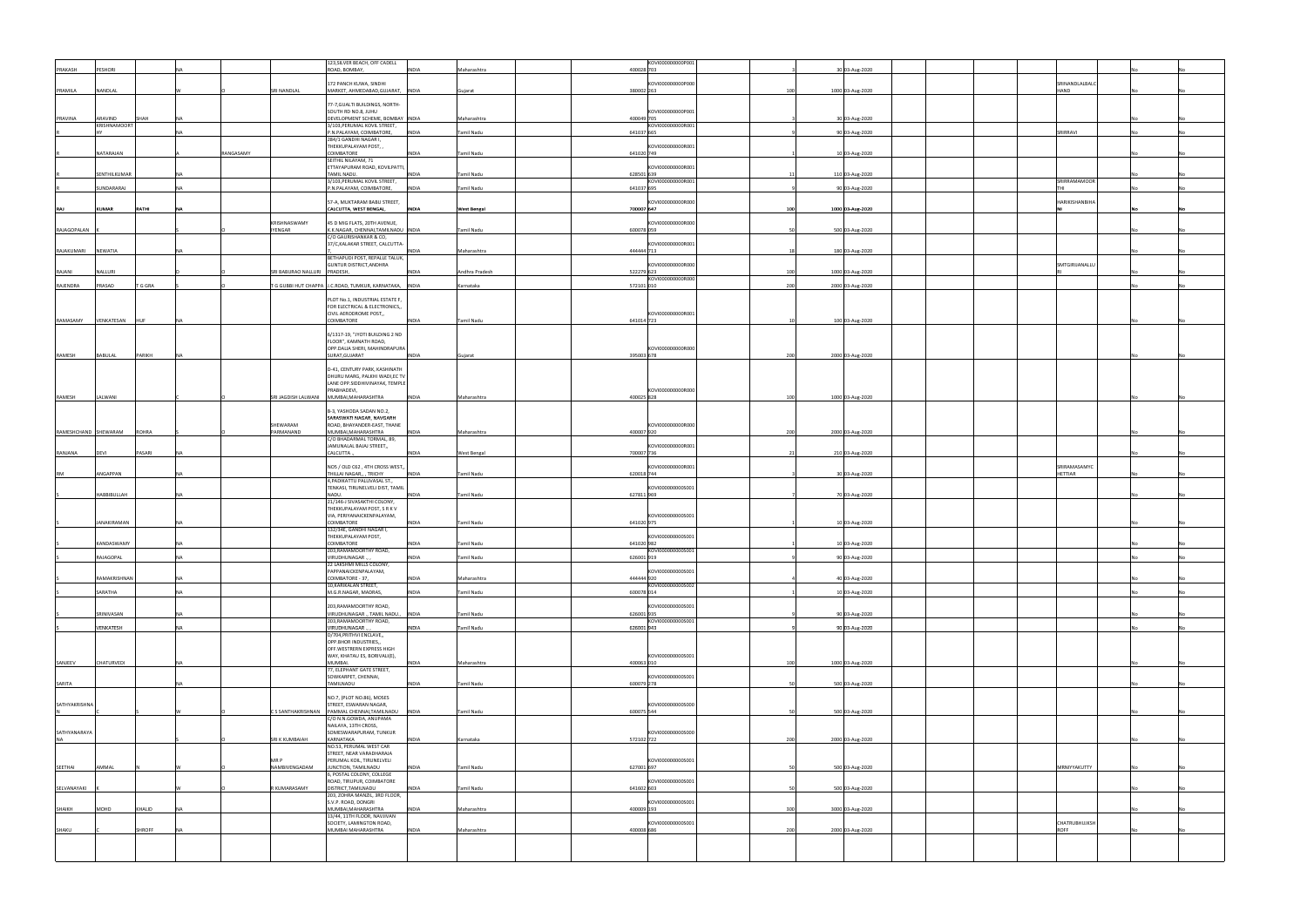|                      |                    |         |           |                                | 123, SILVER BEACH, OFF CADELL                                         |              |                |            | KOVI000000000P001 |     |                  |                |  |  |
|----------------------|--------------------|---------|-----------|--------------------------------|-----------------------------------------------------------------------|--------------|----------------|------------|-------------------|-----|------------------|----------------|--|--|
| PRAKASH              | PESHORI            |         |           |                                | ROAD, BOMBAY,                                                         | <b>INDIA</b> | Maharashtra    | 400028 703 |                   |     | 30 03-Aug-2020   |                |  |  |
|                      |                    |         |           |                                | 172 PANCH KUWA, SINDHI                                                |              |                |            | KOVI000000000P000 |     |                  | SRINANDLALBALC |  |  |
| PRAMILA              | NANDLAL            |         |           | SRI NANDLAL                    | MARKET, AHMEDABAD, GUJARAT, INDIA                                     |              | Gujarat        | 380002 263 |                   | 100 | 1000 03-Aug-2020 | HAND           |  |  |
|                      |                    |         |           |                                |                                                                       |              |                |            |                   |     |                  |                |  |  |
|                      |                    |         |           |                                | 77-7, GUALTI BUILDINGS, NORTH-                                        |              |                |            | KOVI000000000P001 |     |                  |                |  |  |
| PRAVINA              | ARAVIND            | SHAH    | <b>NA</b> |                                | SOUTH RD NO.8, JUHU<br>DEVELOPMENT SCHEME, BOMBAY  INDIA              |              | Maharashtra    | 400049 705 |                   |     | 30 03-Aug-2020   |                |  |  |
|                      | KRISHNAMOORT       |         |           |                                | 3/103, PERUMAL KOVIL STREET,                                          |              |                |            | KOVI000000000R001 |     |                  |                |  |  |
|                      |                    |         |           |                                | P.N.PALAYAM, COIMBATORE,                                              | <b>INDIA</b> | Tamil Nadu     | 641037 665 |                   |     | 90 03-Aug-2020   | SRIRRAVI       |  |  |
|                      |                    |         |           |                                | 284/1 GANDHI NAGAR I,<br>THEKKUPALAYAM POST,,                         |              |                |            | KOVI000000000R001 |     |                  |                |  |  |
|                      | NATARAJAN          |         | RANGASAMY |                                | COIMBATORE                                                            | <b>INDIA</b> | Tamil Nadu     | 641020 749 |                   |     | 10 03-Aug-2020   |                |  |  |
|                      |                    |         |           |                                | SEITHIL NILAYAM, 71                                                   |              |                |            |                   |     |                  |                |  |  |
|                      | SENTHILKUMAR       |         | NΔ        |                                | ETTAYAPURAM ROAD, KOVILPATTI,<br>TAMIL NADU.                          | <b>INDIA</b> | Tamil Nadu     | 628501 639 | KOVI000000000R001 |     | 110 03-Aug-2020  |                |  |  |
|                      |                    |         |           |                                | 3/103,PERUMAL KOVIL STREET,                                           |              |                |            | KOVI000000000R001 |     |                  | SRIRRAMAMOOR   |  |  |
|                      | <b>JUNDARARAJ</b>  |         |           |                                | P.N.PALAYAM, COIMBATORE,                                              | <b>INDIA</b> | Tamil Nadu     | 641037 695 |                   |     | 90 03-Aug-2020   |                |  |  |
|                      |                    |         |           |                                | 57-A, MUKTARAM BABU STREET,                                           |              |                |            | KOVI000000000R000 |     |                  | HARIKISHANBIHA |  |  |
| RAJ                  | KUMAR              | RATHI   | <b>NA</b> |                                | CALCUTTA, WEST BENGAL,                                                | <b>INDIA</b> | West Bengal    | 700007 647 |                   | 100 | 1000 03-Aug-2020 |                |  |  |
|                      |                    |         |           |                                |                                                                       |              |                |            |                   |     |                  |                |  |  |
| RAJAGOPALAN          |                    |         |           | KRISHNASWAMY<br><b>IYENGAR</b> | 45 D MIG FLATS, 20TH AVENUE,<br>K.K.NAGAR, CHENNAI, TAMILNADU   INDIA |              | Tamil Nadu     | 600078 059 | KOVI000000000R000 |     | 500 03-Aug-2020  |                |  |  |
|                      |                    |         |           |                                | C/O GAURISHANKAR & CO,                                                |              |                |            |                   |     |                  |                |  |  |
|                      |                    |         |           |                                | 37/C,KALAKAR STREET, CALCUTTA-                                        |              |                |            | KOVI000000000R001 |     |                  |                |  |  |
| RAJAKUMARI           | NEWATIA            |         | <b>NA</b> |                                | BETHAPUDI POST, REPALLE TALUK,                                        | <b>INDIA</b> | Maharashtra    | 444444 713 |                   |     | 180 03-Aug-2020  |                |  |  |
|                      |                    |         |           |                                | GUNTUR DISTRICT, ANDHRA                                               |              |                |            | KOVI000000000R000 |     |                  | SMTGIRIJANALLU |  |  |
| RAJANI               | NALLURI            |         |           | SRI BABURAO NALLURI PRADESH,   |                                                                       | <b>INDIA</b> | Andhra Pradesh | 522279 623 |                   | 100 | 1000 03-Aug-2020 |                |  |  |
| RAJENDRA             | PRASAD             | T G GRA |           |                                | T G GUBBI HUT CHAPPA J.C.ROAD, TUMKUR, KARNATAKA, INDIA               |              | Karnataka      | 572101 010 | KOVI000000000R000 | 200 | 2000 03-Aug-2020 |                |  |  |
|                      |                    |         |           |                                |                                                                       |              |                |            |                   |     |                  |                |  |  |
|                      |                    |         |           |                                | PLOT No.1, INDUSTRIAL ESTATE F,                                       |              |                |            |                   |     |                  |                |  |  |
|                      |                    |         |           |                                | FOR ELECTRICAL & ELECTRONICS,,<br>CIVIL AERODROME POST,,              |              |                |            | KOVI000000000R001 |     |                  |                |  |  |
| RAMASAMY             | VENKATESAN         | HUF     | <b>NA</b> |                                | COIMBATORE                                                            | <b>INDIA</b> | Tamil Nadu     | 641014 723 |                   |     | 100 03-Aug-2020  |                |  |  |
|                      |                    |         |           |                                |                                                                       |              |                |            |                   |     |                  |                |  |  |
|                      |                    |         |           |                                | 6/1317-19, "JYOTI BUILDING 2 ND<br>FLOOR", KAMNATH ROAD,              |              |                |            |                   |     |                  |                |  |  |
|                      |                    |         |           |                                | OPP.DALIA SHERI, MAHINDRAPURA                                         |              |                |            | KOVI000000000R000 |     |                  |                |  |  |
| RAMESH               | BABULAL            | PARIKH  | <b>NA</b> |                                | SURAT, GUJARAT                                                        | <b>INDIA</b> | Gujarat        | 395003 678 |                   | 200 | 2000 03-Aug-2020 |                |  |  |
|                      |                    |         |           |                                | D-41, CENTURY PARK, KASHINATH                                         |              |                |            |                   |     |                  |                |  |  |
|                      |                    |         |           |                                | DHURU MARG, PALKHI WADI, EC TV                                        |              |                |            |                   |     |                  |                |  |  |
|                      |                    |         |           |                                | LANE OPP.SIDDHIVINAYAK, TEMPLE                                        |              |                |            |                   |     |                  |                |  |  |
| RAMESH               | LALWANI            |         |           | SRI JAGDISH LALWANI            | PRABHADEVI,<br>MUMBAI, MAHARASHTRA                                    | <b>INDIA</b> | Maharashtra    | 400025 828 | KOVI000000000R000 | 100 | 1000 03-Aug-2020 |                |  |  |
|                      |                    |         |           |                                |                                                                       |              |                |            |                   |     |                  |                |  |  |
|                      |                    |         |           |                                | B-3, YASHODA SADAN NO.2,                                              |              |                |            |                   |     |                  |                |  |  |
|                      |                    |         |           | SHEWARAM                       | SARASWATI NAGAR, NAVGARH<br>ROAD, BHAYANDER-EAST, THANE               |              |                |            | KOVI000000000R000 |     |                  |                |  |  |
| RAMESHCHAND SHEWARAM |                    | ROHRA   |           | PARMANAND                      | MUMBAI, MAHARASHTRA                                                   | <b>INDIA</b> | Maharashtra    | 400007 920 |                   | 200 | 2000 03-Aug-2020 |                |  |  |
|                      |                    |         |           |                                | C/O BHADARMAL TORMAL, 89,                                             |              |                |            |                   |     |                  |                |  |  |
| RANJANA              | DEVI               | PASARI  | <b>NA</b> |                                | JAMUNALAL BAJAJ STREET,,<br>CALCUTTA.                                 | <b>INDIA</b> | West Bengal    | 700007 736 | KOVI000000000R001 |     | 210 03-Aug-2020  |                |  |  |
|                      |                    |         |           |                                |                                                                       |              |                |            |                   |     |                  |                |  |  |
|                      |                    |         |           |                                | NO5 / OLD C62, 4TH CROSS WEST,,                                       |              |                |            | KOVI000000000R001 |     |                  | SRIRAMASAMYC   |  |  |
|                      |                    |         |           |                                |                                                                       |              |                |            |                   |     |                  |                |  |  |
| <b>RM</b>            | ANGAPPAN           |         | <b>NA</b> |                                | THILLAI NAGAR,, , TRICHY                                              | <b>INDIA</b> | Tamil Nadu     | 620018 744 |                   |     | 30 03-Aug-2020   | HETTIAR        |  |  |
|                      |                    |         |           |                                | 4, PADIKATTU PALLIVASAL ST.,                                          |              |                |            |                   |     |                  |                |  |  |
|                      | HABBIBULLAH        |         | <b>NA</b> |                                | TENKASI, TIRUNELVELI DIST, TAMIL<br>NADU.                             | <b>INDIA</b> | Tamil Nadu     | 627811 969 | KOVI000000000S001 |     | 70 03-Aug-2020   |                |  |  |
|                      |                    |         |           |                                | 21/146-J SIVASAKTHI COLONY,                                           |              |                |            |                   |     |                  |                |  |  |
|                      |                    |         |           |                                | THEKKUPALAYAM POST, S R K V                                           |              |                |            | KOVI000000000S001 |     |                  |                |  |  |
|                      | <b>JANAKIRAMAN</b> |         | NΔ        |                                | VIA, PERIYANAICKENPALAYAM,<br>COIMBATORE                              | <b>INDIA</b> | Tamil Nadu     | 641020 975 |                   |     | 10 03-Aug-2020   |                |  |  |
|                      |                    |         |           |                                | 132/34E, GANDHI NAGAR I,                                              |              |                |            |                   |     |                  |                |  |  |
|                      | KANDASWAMY         |         |           |                                | THEKKUPALAYAM POST,<br>COIMBATORE                                     | <b>NDIA</b>  | Tamil Nadu     | 641020 982 | KOVI000000000S001 |     |                  |                |  |  |
|                      |                    |         |           |                                | 203, RAMAMOORTHY ROAD,                                                |              |                |            | KOVI000000000S001 |     | 10 03-Aug-2020   |                |  |  |
|                      | RAJAGOPAL          |         | <b>NA</b> |                                | VIRUDHUNAGAR.,                                                        | <b>INDIA</b> | Tamil Nadu     | 626001 919 |                   |     | 90 03-Aug-2020   |                |  |  |
|                      |                    |         |           |                                | 22 LAKSHMI MILLS COLONY,<br>PAPPANAICKENPALAYAM,                      |              |                |            | KOVI000000000S001 |     |                  |                |  |  |
|                      | RAMAKRISHNAN       |         | NΔ        |                                | COIMBATORE - 37,                                                      | <b>INDIA</b> | Maharashtra    | 444444 920 |                   |     | 40 03-Aug-2020   |                |  |  |
|                      |                    |         |           |                                | 10, KARIKALAN STREET,                                                 |              |                |            | KOVI000000000S002 |     |                  |                |  |  |
|                      | SARATHA            |         |           |                                | M.G.R.NAGAR, MADRAS,                                                  | INDIA        | Tamil Nadu     | 600078 014 |                   |     | 10 03-Aug-2020   |                |  |  |
|                      |                    |         |           |                                | 203, RAMAMOORTHY ROAD,                                                |              |                |            | KOVI000000000S001 |     |                  |                |  |  |
|                      | SRINIVASAN         |         | <b>NA</b> |                                | VIRUDHUNAGAR ., TAMIL NADU., INDIA                                    |              | Tamil Nadu     | 626001 935 |                   |     | 90 03-Aug-2020   |                |  |  |
|                      | VENKATESH          |         | <b>NA</b> |                                | 203, RAMAMOORTHY ROAD,<br>VIRUDHUNAGAR.                               | <b>INDIA</b> | Tamil Nadu     | 626001 943 | KOVI0000000005001 |     | 90 03-Aug-2020   |                |  |  |
|                      |                    |         |           |                                | D/704, PRITHVI ENCLAVE,,                                              |              |                |            |                   |     |                  |                |  |  |
|                      |                    |         |           |                                | OPP.BHOR INDUSTRIES,,                                                 |              |                |            |                   |     |                  |                |  |  |
|                      |                    |         |           |                                | OFF. WESTRERN EXPRESS HIGH<br>WAY, KHATAU ES, BORIVALI(E),            |              |                |            | KOVI000000000S001 |     |                  |                |  |  |
| SANJEEV              | CHATURVEDI         |         | <b>NA</b> |                                | MUMBAI.                                                               | INDIA        | Maharashtra    | 400063 010 |                   | 100 | 1000 03-Aug-2020 |                |  |  |
|                      |                    |         |           |                                | 77, ELEPHANT GATE STREET,                                             |              |                |            | KOVI000000000S001 |     |                  |                |  |  |
| SARITA               |                    |         | <b>NA</b> |                                | SOWKARPET, CHENNAI,<br>TAMILNADU                                      | <b>INDIA</b> | Tamil Nadu     | 600079 278 |                   |     | 500 03-Aug-2020  |                |  |  |
|                      |                    |         |           |                                |                                                                       |              |                |            |                   |     |                  |                |  |  |
| SATHYAKRISHNA        |                    |         |           |                                | NO.7, (PLOT NO.86), MOSES<br>STREET, ESWARAN NAGAR,                   |              |                |            | KOVI000000000S000 |     |                  |                |  |  |
|                      |                    |         |           | C S SANTHAKRISHNAN             | PAMMAL CHENNAI, TAMILNADU   INDIA                                     |              | Tamil Nadu     | 600075 544 |                   |     | 500 03-Aug-2020  |                |  |  |
|                      |                    |         |           |                                | C/O N.N.GOWDA, ANUPAMA                                                |              |                |            |                   |     |                  |                |  |  |
| SATHYANARAYA         |                    |         |           |                                | NAILAYA, 13TH CROSS,<br>SOMESWARAPURAM, TUNKUR                        |              |                |            | KOVI0000000005000 |     |                  |                |  |  |
| <b>NA</b>            |                    |         |           | SRI K KUMBAIAH                 | KARNATAKA                                                             | <b>INDIA</b> | Karnataka      | 572102 722 |                   | 200 | 2000 03-Aug-2020 |                |  |  |
|                      |                    |         |           |                                | NO.53, PERUMAL WEST CAR                                               |              |                |            |                   |     |                  |                |  |  |
|                      |                    |         |           | MR P                           | STREET, NEAR VARADHARAJA<br>PERUMAL KOIL, TIRUNELVELI                 |              |                |            | KOVI000000000S001 |     |                  |                |  |  |
| SEETHAI              | AMMAL              |         |           | NAMBIVENGADAM                  | JUNCTION, TAMILNADU                                                   | INDIA        | Tamil Nadu     | 627001 697 |                   |     | 500 03-Aug-2020  | MRNIYYAKUTTY   |  |  |
|                      |                    |         |           |                                | 6, POSTAL COLONY, COLLEGE                                             |              |                |            |                   |     |                  |                |  |  |
| SELVANAYAKI          |                    |         |           | R KUMARASAMY                   | ROAD, TIRUPUR, COIMBATORE<br>DISTRICT, TAMILNADU                      | <b>INDIA</b> | Tamil Nadu     | 641602 603 | KOVI000000000S001 |     | 500 03-Aug-2020  |                |  |  |
|                      |                    |         |           |                                | 203, ZOHRA MANZIL, 3RD FLOOR,                                         |              |                |            |                   |     |                  |                |  |  |
|                      |                    |         |           |                                | S.V.P. ROAD, DONGRI                                                   |              |                |            | KOVI0000000005001 |     |                  |                |  |  |
| SHAIKH               | MOHD               | KHALID  | <b>NA</b> |                                | MUMBAI, MAHARASHTRA<br>13/44, 11TH FLOOR, NAVJIVAN                    | <b>INDIA</b> | Maharashtra    | 400009 193 |                   | 300 | 3000 03-Aug-2020 |                |  |  |
|                      |                    |         |           |                                | SOCIETY, LAMINGTON ROAD,                                              |              |                |            | KOVI000000000S001 |     |                  | CHATRUBHUJKSH  |  |  |
| SHAKU                |                    | SHROFF  | <b>NA</b> |                                | MUMBAI MAHARASHTRA                                                    | <b>INDIA</b> | Maharashtra    | 400008 686 |                   | 200 | 2000 03-Aug-2020 | <b>ROFF</b>    |  |  |
|                      |                    |         |           |                                |                                                                       |              |                |            |                   |     |                  |                |  |  |
|                      |                    |         |           |                                |                                                                       |              |                |            |                   |     |                  |                |  |  |